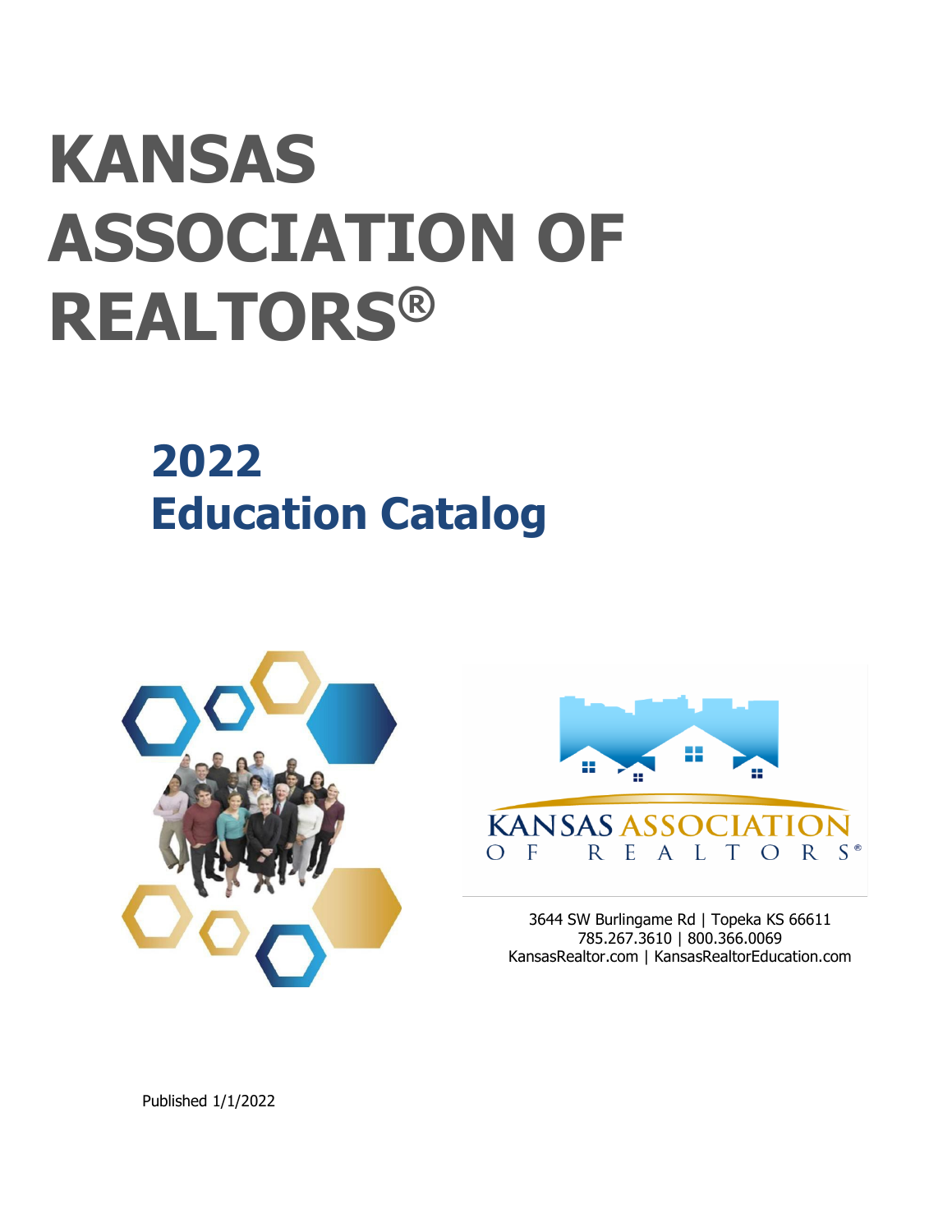# **KANSAS ASSOCIATION OF REALTORS®**

# **2022 Education Catalog**





3644 SW Burlingame Rd | Topeka KS 66611 785.267.3610 | 800.366.0069 KansasRealtor.com | KansasRealtorEducation.com

Published 1/1/2022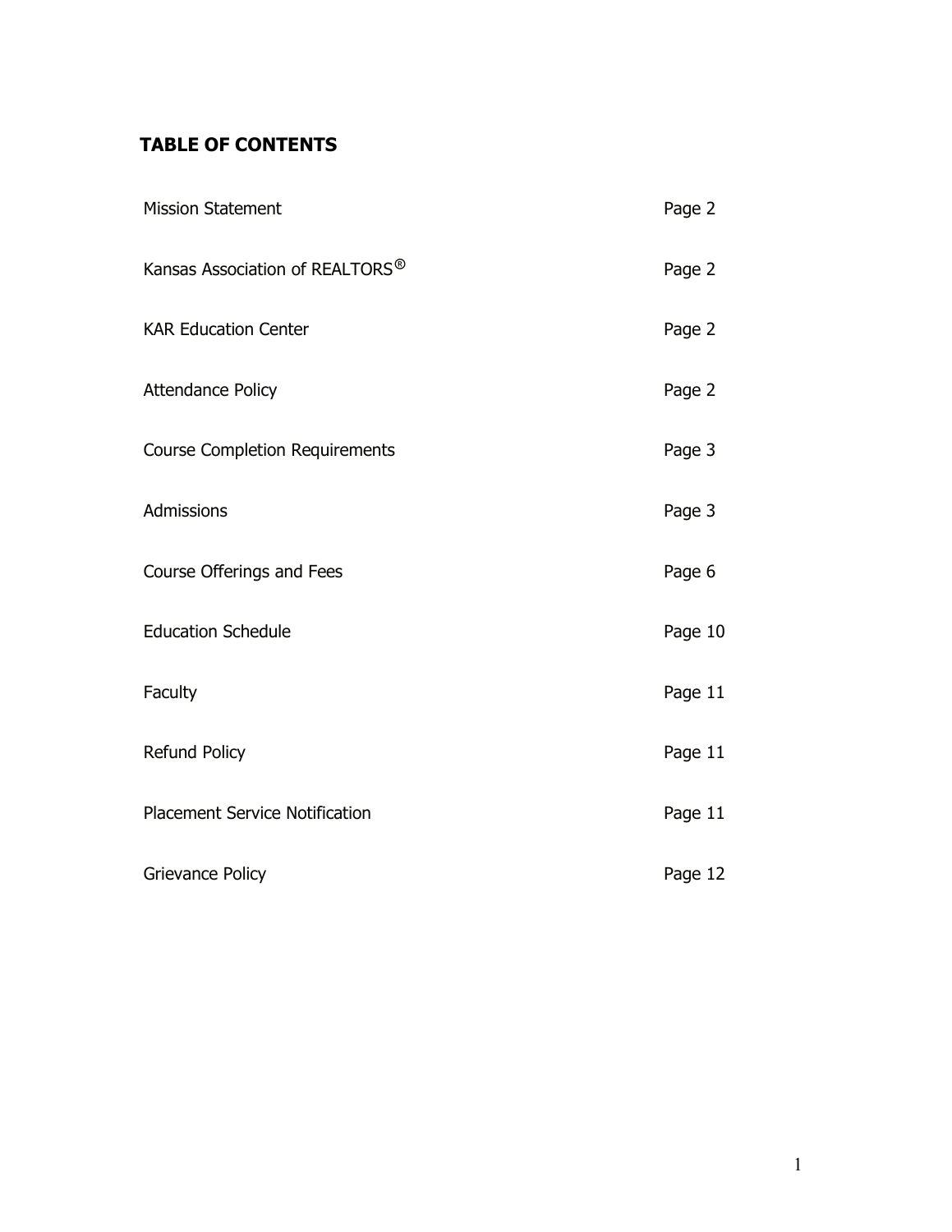# **TABLE OF CONTENTS**

| <b>Mission Statement</b>                    | Page 2  |
|---------------------------------------------|---------|
| Kansas Association of REALTORS <sup>®</sup> | Page 2  |
| <b>KAR Education Center</b>                 | Page 2  |
| <b>Attendance Policy</b>                    | Page 2  |
| <b>Course Completion Requirements</b>       | Page 3  |
| Admissions                                  | Page 3  |
| Course Offerings and Fees                   | Page 6  |
| <b>Education Schedule</b>                   | Page 10 |
| Faculty                                     | Page 11 |
| <b>Refund Policy</b>                        | Page 11 |
| <b>Placement Service Notification</b>       | Page 11 |
| Grievance Policy                            | Page 12 |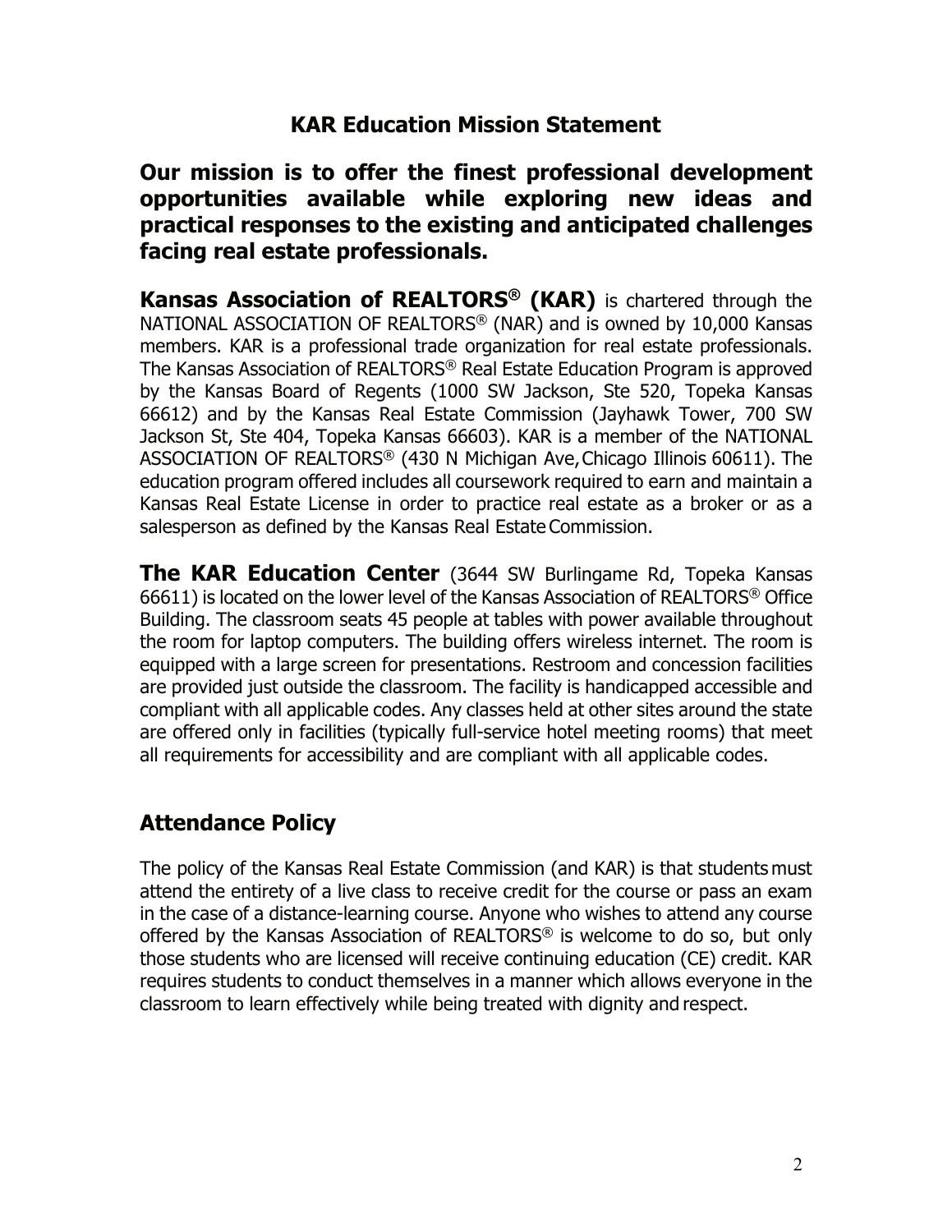# **KAR Education Mission Statement**

# **Our mission is to offer the finest professional development opportunities available while exploring new ideas and practical responses to the existing and anticipated challenges facing real estate professionals.**

**Kansas Association of REALTORS® (KAR)** is chartered through the NATIONAL ASSOCIATION OF REALTORS® (NAR) and is owned by 10,000 Kansas members. KAR is a professional trade organization for real estate professionals. The Kansas Association of REALTORS® Real Estate Education Program is approved by the Kansas Board of Regents (1000 SW Jackson, Ste 520, Topeka Kansas 66612) and by the Kansas Real Estate Commission (Jayhawk Tower, 700 SW Jackson St, Ste 404, Topeka Kansas 66603). KAR is a member of the NATIONAL ASSOCIATION OF REALTORS® (430 N Michigan Ave,Chicago Illinois 60611). The education program offered includes all coursework required to earn and maintain a Kansas Real Estate License in order to practice real estate as a broker or as a salesperson as defined by the Kansas Real Estate Commission.

**The KAR Education Center** (3644 SW Burlingame Rd, Topeka Kansas 66611) is located on the lower level of the Kansas Association of REALTORS® Office Building. The classroom seats 45 people at tables with power available throughout the room for laptop computers. The building offers wireless internet. The room is equipped with a large screen for presentations. Restroom and concession facilities are provided just outside the classroom. The facility is handicapped accessible and compliant with all applicable codes. Any classes held at other sites around the state are offered only in facilities (typically full-service hotel meeting rooms) that meet all requirements for accessibility and are compliant with all applicable codes.

# **Attendance Policy**

The policy of the Kansas Real Estate Commission (and KAR) is that students must attend the entirety of a live class to receive credit for the course or pass an exam in the case of a distance-learning course. Anyone who wishes to attend any course offered by the Kansas Association of REALTORS® is welcome to do so, but only those students who are licensed will receive continuing education (CE) credit. KAR requires students to conduct themselves in a manner which allows everyone in the classroom to learn effectively while being treated with dignity and respect.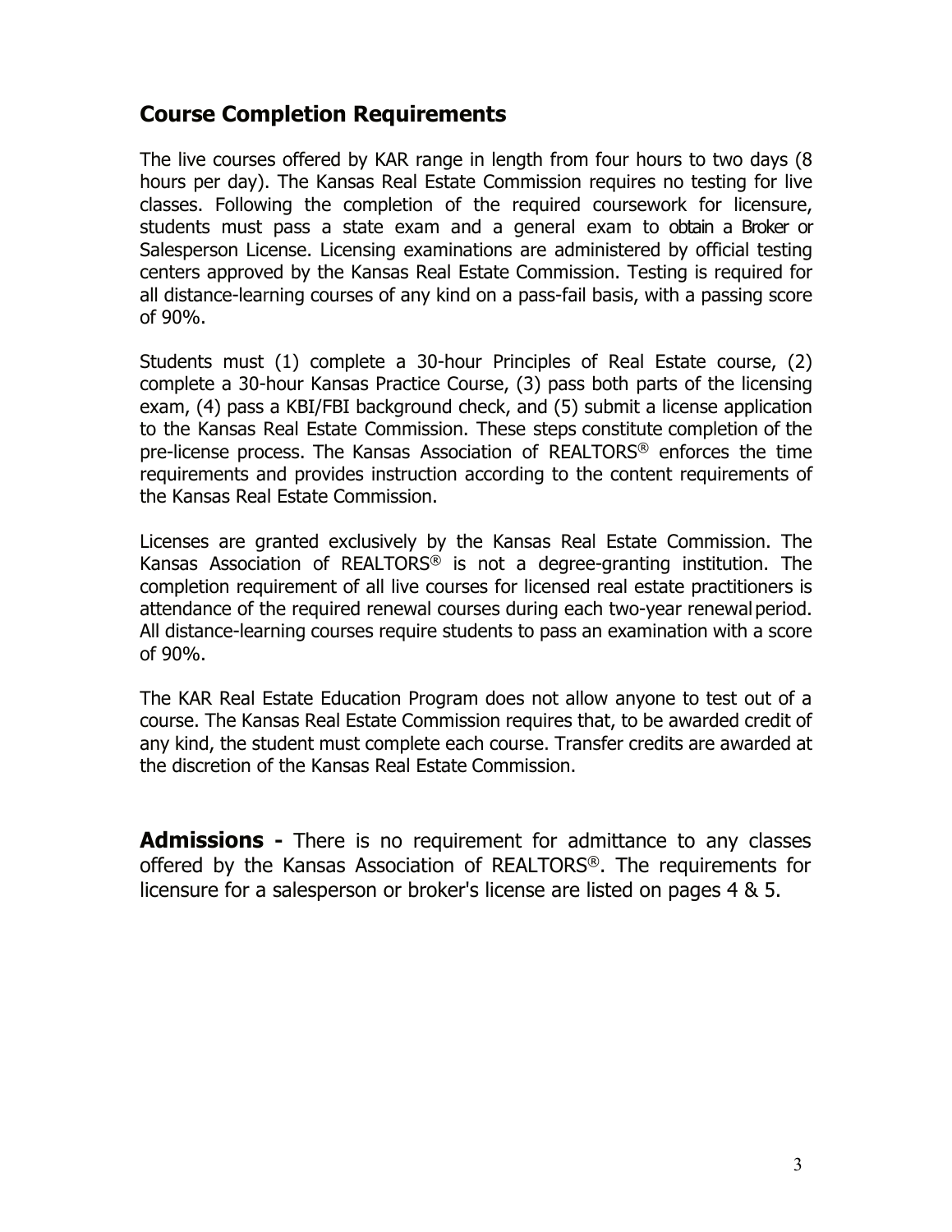# **Course Completion Requirements**

The live courses offered by KAR range in length from four hours to two days (8 hours per day). The Kansas Real Estate Commission requires no testing for live classes. Following the completion of the required coursework for licensure, students must pass a state exam and a general exam to obtain a Broker or Salesperson License. Licensing examinations are administered by official testing centers approved by the Kansas Real Estate Commission. Testing is required for all distance-learning courses of any kind on a pass-fail basis, with a passing score of 90%.

Students must (1) complete a 30-hour Principles of Real Estate course, (2) complete a 30-hour Kansas Practice Course, (3) pass both parts of the licensing exam, (4) pass a KBI/FBI background check, and (5) submit a license application to the Kansas Real Estate Commission. These steps constitute completion of the pre-license process. The Kansas Association of REALTORS® enforces the time requirements and provides instruction according to the content requirements of the Kansas Real Estate Commission.

Licenses are granted exclusively by the Kansas Real Estate Commission. The Kansas Association of REALTORS® is not a degree-granting institution. The completion requirement of all live courses for licensed real estate practitioners is attendance of the required renewal courses during each two-year renewal period. All distance-learning courses require students to pass an examination with a score of 90%.

The KAR Real Estate Education Program does not allow anyone to test out of a course. The Kansas Real Estate Commission requires that, to be awarded credit of any kind, the student must complete each course. Transfer credits are awarded at the discretion of the Kansas Real Estate Commission.

**Admissions -** There is no requirement for admittance to any classes offered by the Kansas Association of REALTORS®. The requirements for licensure for a salesperson or broker's license are listed on pages 4 & 5.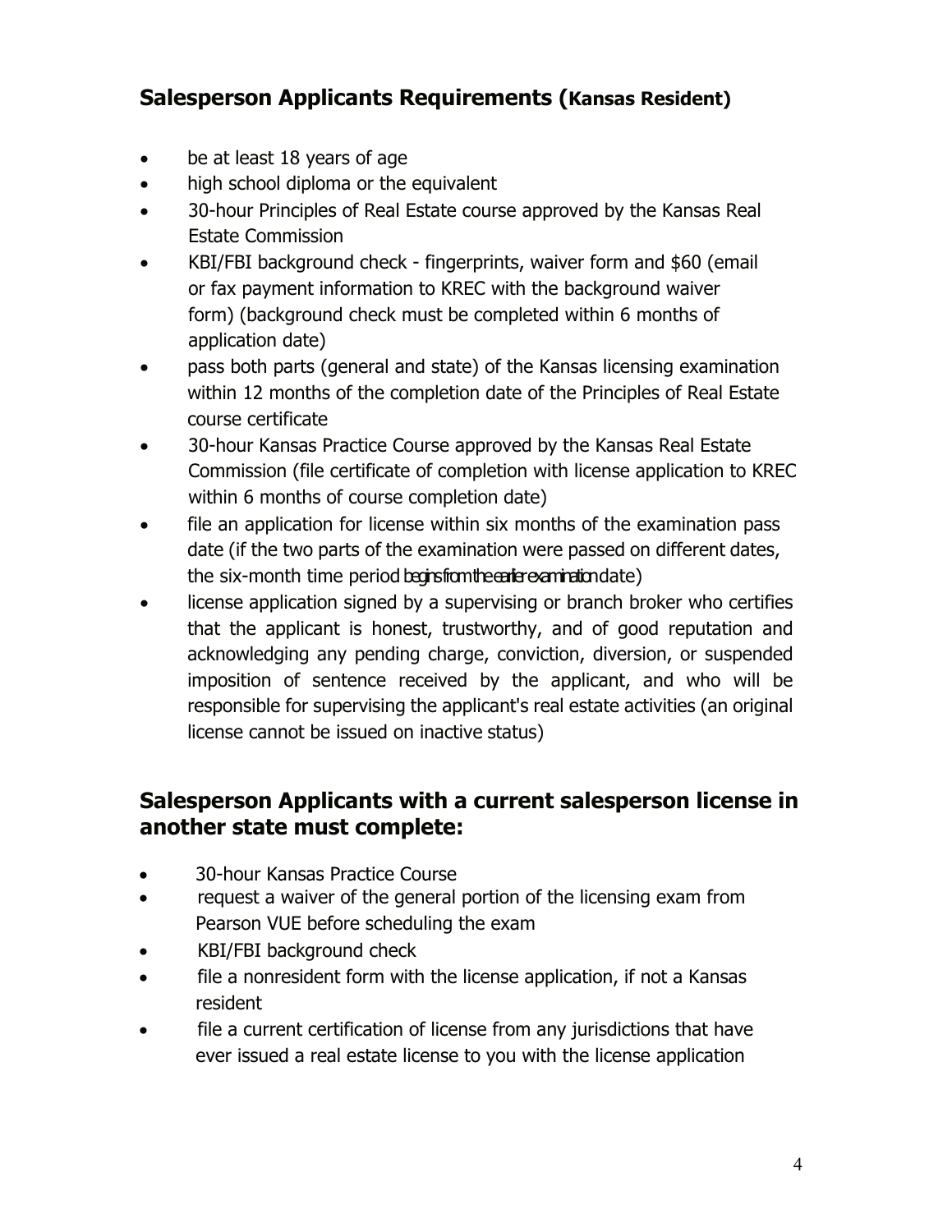# **Salesperson Applicants Requirements (Kansas Resident)**

- be at least 18 years of age
- high school diploma or the equivalent
- 30-hour Principles of Real Estate course approved by the Kansas Real Estate Commission
- KBI/FBI background check fingerprints, waiver form and \$60 (email or fax payment information to KREC with the background waiver form) (background check must be completed within 6 months of application date)
- pass both parts (general and state) of the Kansas licensing examination within 12 months of the completion date of the Principles of Real Estate course certificate
- 30-hour Kansas Practice Course approved by the Kansas Real Estate Commission (file certificate of completion with license application to KREC within 6 months of course completion date)
- file an application for license within six months of the examination pass date (if the two parts of the examination were passed on different dates, the six-month time period begins from the earlier examination date)
- license application signed by a supervising or branch broker who certifies that the applicant is honest, trustworthy, and of good reputation and acknowledging any pending charge, conviction, diversion, or suspended imposition of sentence received by the applicant, and who will be responsible for supervising the applicant's real estate activities (an original license cannot be issued on inactive status)

# **Salesperson Applicants with a current salesperson license in another state must complete:**

- 30-hour Kansas Practice Course
- request a waiver of the general portion of the licensing exam from Pearson VUE before scheduling the exam
- KBI/FBI background check
- file a nonresident form with the license application, if not a Kansas resident
- file a current certification of license from any jurisdictions that have ever issued a real estate license to you with the license application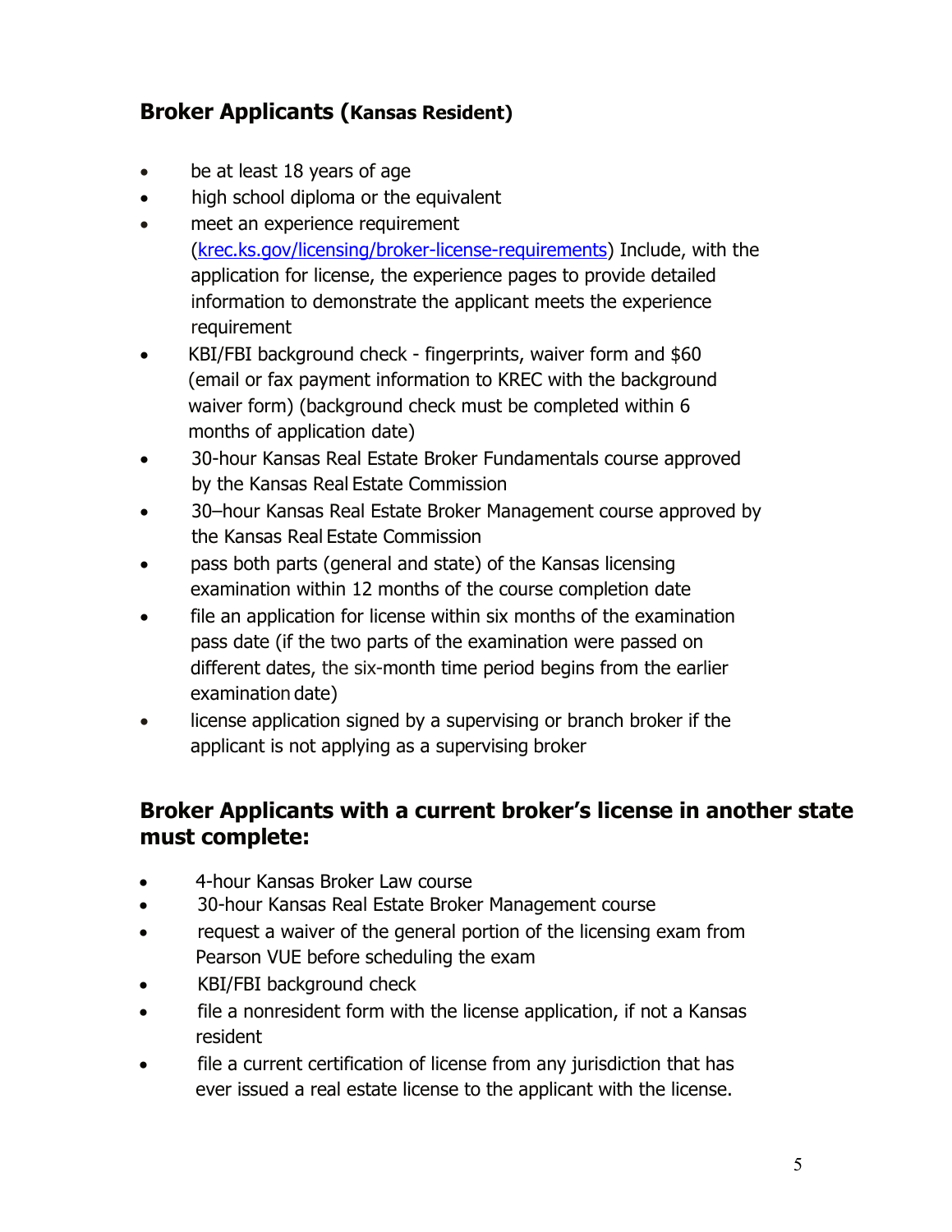# **Broker Applicants (Kansas Resident)**

- be at least 18 years of age
- high school diploma or the equivalent
- meet an experience requirement [\(krec.ks.gov/licensing/broker-license-requirements\)](https://krec.ks.gov/licensing/broker-license-requirements) Include, with the application for license, the experience pages to provide detailed information to demonstrate the applicant meets the experience requirement
- KBI/FBI background check fingerprints, waiver form and \$60 (email or fax payment information to KREC with the background waiver form) (background check must be completed within 6 months of application date)
- 30-hour Kansas Real Estate Broker Fundamentals course approved by the Kansas Real Estate Commission
- 30–hour Kansas Real Estate Broker Management course approved by the Kansas Real Estate Commission
- pass both parts (general and state) of the Kansas licensing examination within 12 months of the course completion date
- file an application for license within six months of the examination pass date (if the two parts of the examination were passed on different dates, the six-month time period begins from the earlier examination date)
- license application signed by a supervising or branch broker if the applicant is not applying as a supervising broker

# **Broker Applicants with a current broker's license in another state must complete:**

- 4-hour Kansas Broker Law course
- 30-hour Kansas Real Estate Broker Management course
- request a waiver of the general portion of the licensing exam from Pearson VUE before scheduling the exam
- KBI/FBI background check
- file a nonresident form with the license application, if not a Kansas resident
- file a current certification of license from any jurisdiction that has ever issued a real estate license to the applicant with the license.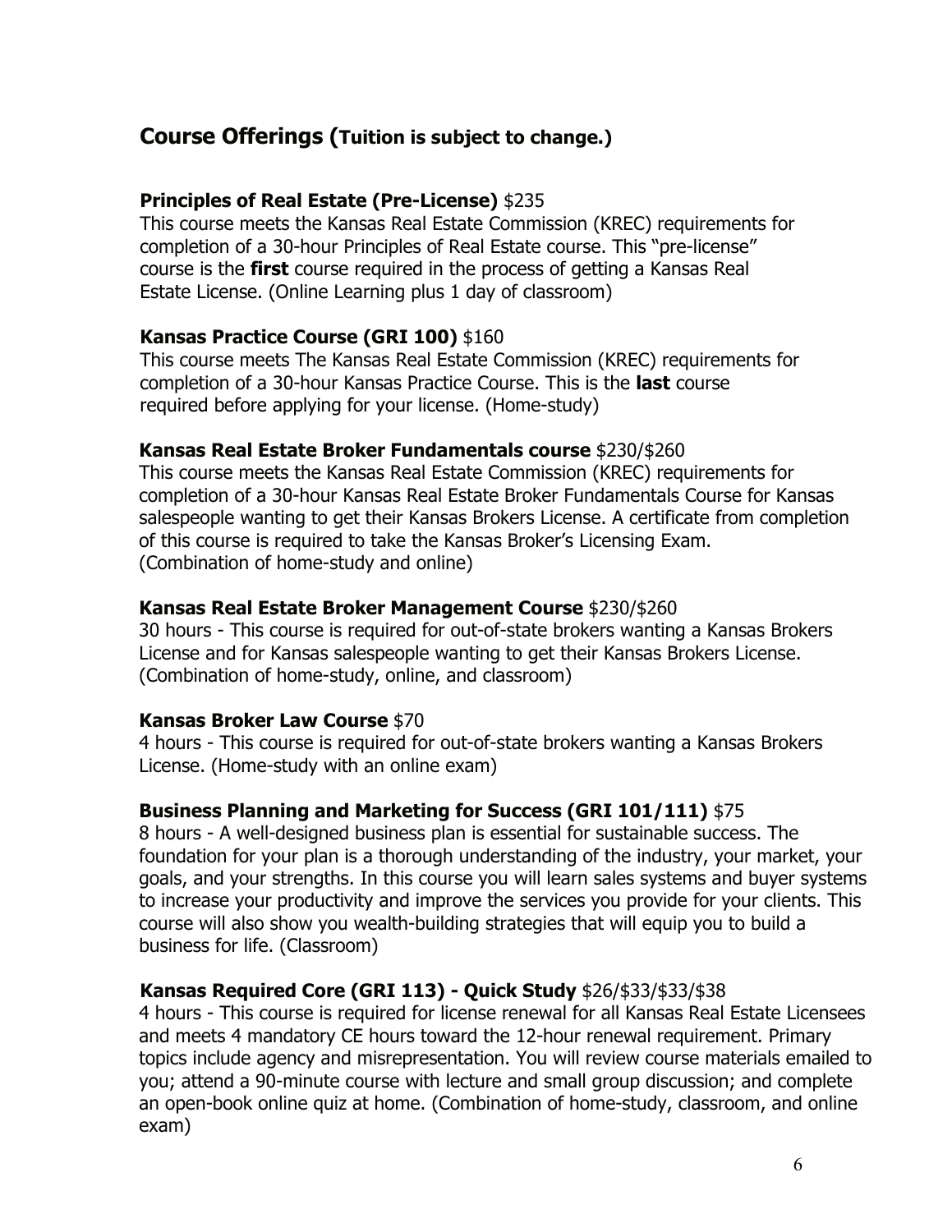# **Course Offerings (Tuition is subject to change.)**

#### **Principles of Real Estate (Pre-License)** \$235

This course meets the Kansas Real Estate Commission (KREC) requirements for completion of a 30-hour Principles of Real Estate course. This "pre-license" course is the **first** course required in the process of getting a Kansas Real Estate License. (Online Learning plus 1 day of classroom)

#### **Kansas Practice Course (GRI 100)** \$160

This course meets The Kansas Real Estate Commission (KREC) requirements for completion of a 30-hour Kansas Practice Course. This is the **last** course required before applying for your license. (Home-study)

#### **Kansas Real Estate Broker Fundamentals course** \$230/\$260

This course meets the Kansas Real Estate Commission (KREC) requirements for completion of a 30-hour Kansas Real Estate Broker Fundamentals Course for Kansas salespeople wanting to get their Kansas Brokers License. A certificate from completion of this course is required to take the Kansas Broker's Licensing Exam. (Combination of home-study and online)

# **Kansas Real Estate Broker Management Course** \$230/\$260

30 hours - This course is required for out-of-state brokers wanting a Kansas Brokers License and for Kansas salespeople wanting to get their Kansas Brokers License. (Combination of home-study, online, and classroom)

#### **Kansas Broker Law Course** \$70

4 hours - This course is required for out-of-state brokers wanting a Kansas Brokers License. (Home-study with an online exam)

# **Business Planning and Marketing for Success (GRI 101/111)** \$75

8 hours - A well-designed business plan is essential for sustainable success. The foundation for your plan is a thorough understanding of the industry, your market, your goals, and your strengths. In this course you will learn sales systems and buyer systems to increase your productivity and improve the services you provide for your clients. This course will also show you wealth-building strategies that will equip you to build a business for life. (Classroom)

# **Kansas Required Core (GRI 113) - Quick Study** \$26/\$33/\$33/\$38

4 hours - This course is required for license renewal for all Kansas Real Estate Licensees and meets 4 mandatory CE hours toward the 12-hour renewal requirement. Primary topics include agency and misrepresentation. You will review course materials emailed to you; attend a 90-minute course with lecture and small group discussion; and complete an open-book online quiz at home. (Combination of home-study, classroom, and online exam)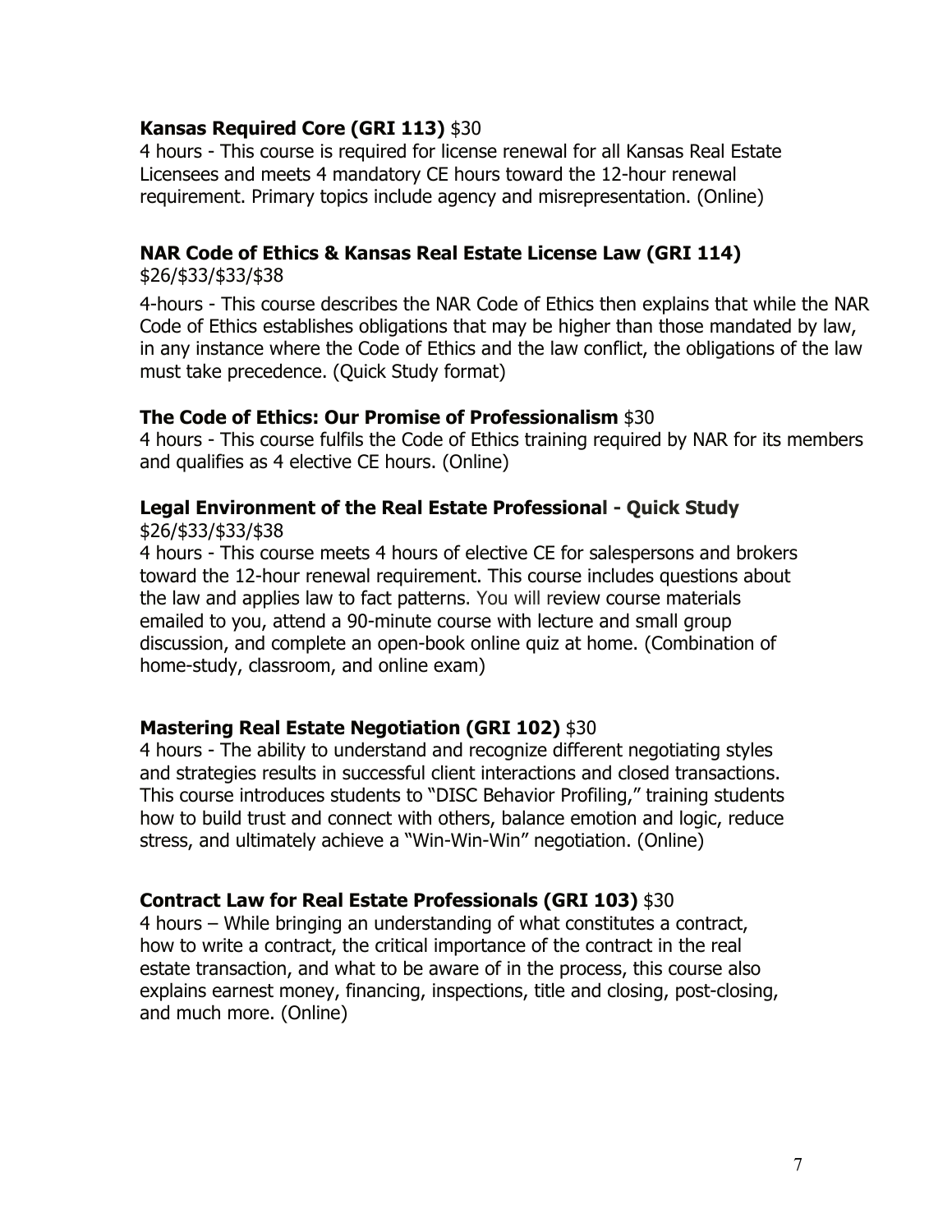# **Kansas Required Core (GRI 113)** \$30

4 hours - This course is required for license renewal for all Kansas Real Estate Licensees and meets 4 mandatory CE hours toward the 12-hour renewal requirement. Primary topics include agency and misrepresentation. (Online)

# **NAR Code of Ethics & Kansas Real Estate License Law (GRI 114)**

\$26/\$33/\$33/\$38

4-hours - This course describes the NAR Code of Ethics then explains that while the NAR Code of Ethics establishes obligations that may be higher than those mandated by law, in any instance where the Code of Ethics and the law conflict, the obligations of the law must take precedence. (Quick Study format)

#### **The Code of Ethics: Our Promise of Professionalism** \$30

4 hours - This course fulfils the Code of Ethics training required by NAR for its members and qualifies as 4 elective CE hours. (Online)

# **Legal Environment of the Real Estate Professional - Quick Study**

\$26/\$33/\$33/\$38

4 hours - This course meets 4 hours of elective CE for salespersons and brokers toward the 12-hour renewal requirement. This course includes questions about the law and applies law to fact patterns. You will review course materials emailed to you, attend a 90-minute course with lecture and small group discussion, and complete an open-book online quiz at home. (Combination of home-study, classroom, and online exam)

# **Mastering Real Estate Negotiation (GRI 102)** \$30

4 hours - The ability to understand and recognize different negotiating styles and strategies results in successful client interactions and closed transactions. This course introduces students to "DISC Behavior Profiling," training students how to build trust and connect with others, balance emotion and logic, reduce stress, and ultimately achieve a "Win-Win-Win" negotiation. (Online)

# **Contract Law for Real Estate Professionals (GRI 103)** \$30

4 hours – While bringing an understanding of what constitutes a contract, how to write a contract, the critical importance of the contract in the real estate transaction, and what to be aware of in the process, this course also explains earnest money, financing, inspections, title and closing, post-closing, and much more. (Online)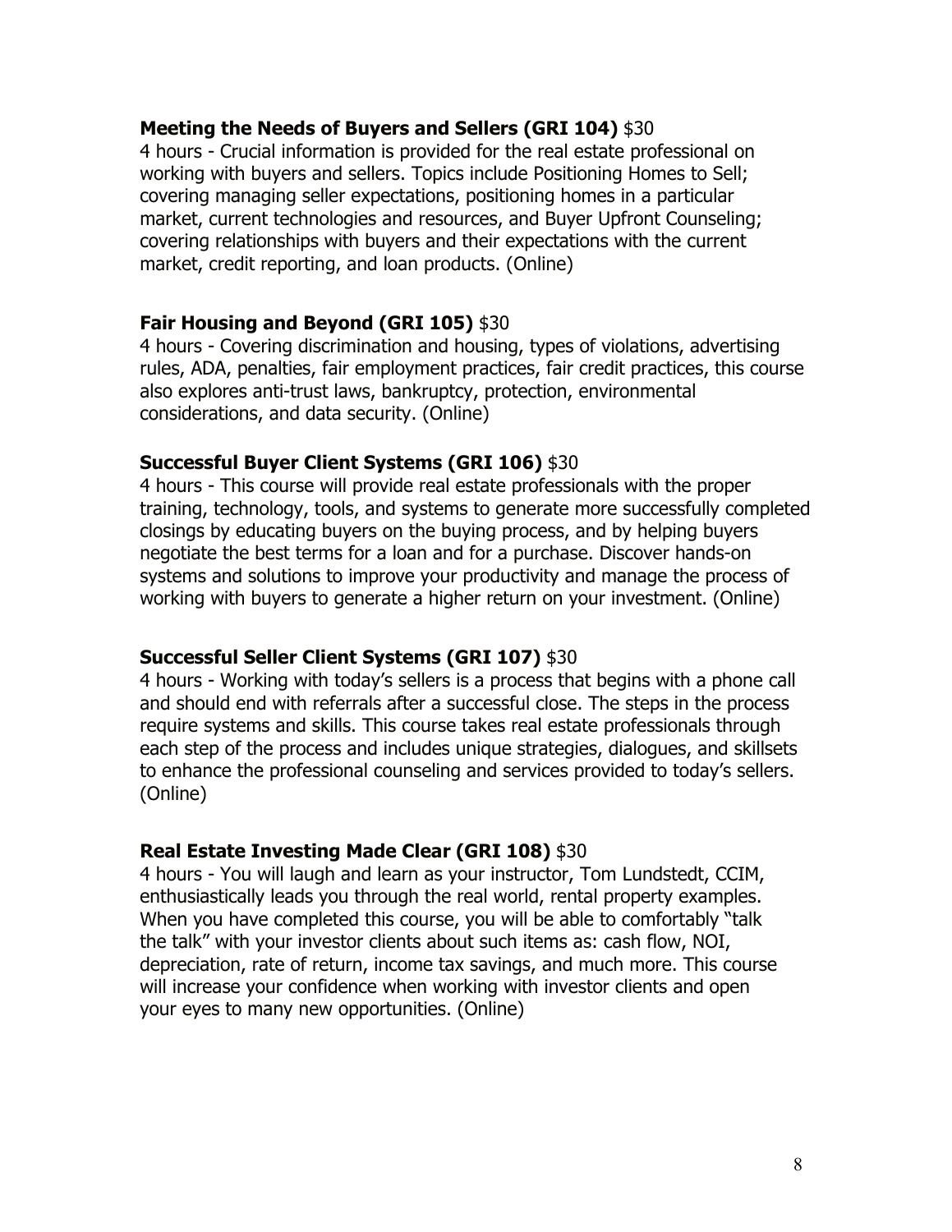#### **Meeting the Needs of Buyers and Sellers (GRI 104)** \$30

4 hours - Crucial information is provided for the real estate professional on working with buyers and sellers. Topics include Positioning Homes to Sell; covering managing seller expectations, positioning homes in a particular market, current technologies and resources, and Buyer Upfront Counseling; covering relationships with buyers and their expectations with the current market, credit reporting, and loan products. (Online)

#### **Fair Housing and Beyond (GRI 105)** \$30

4 hours - Covering discrimination and housing, types of violations, advertising rules, ADA, penalties, fair employment practices, fair credit practices, this course also explores anti-trust laws, bankruptcy, protection, environmental considerations, and data security. (Online)

#### **Successful Buyer Client Systems (GRI 106)** \$30

4 hours - This course will provide real estate professionals with the proper training, technology, tools, and systems to generate more successfully completed closings by educating buyers on the buying process, and by helping buyers negotiate the best terms for a loan and for a purchase. Discover hands-on systems and solutions to improve your productivity and manage the process of working with buyers to generate a higher return on your investment. (Online)

# **Successful Seller Client Systems (GRI 107)** \$30

4 hours - Working with today's sellers is a process that begins with a phone call and should end with referrals after a successful close. The steps in the process require systems and skills. This course takes real estate professionals through each step of the process and includes unique strategies, dialogues, and skillsets to enhance the professional counseling and services provided to today's sellers. (Online)

# **Real Estate Investing Made Clear (GRI 108)** \$30

4 hours - You will laugh and learn as your instructor, Tom Lundstedt, CCIM, enthusiastically leads you through the real world, rental property examples. When you have completed this course, you will be able to comfortably "talk the talk" with your investor clients about such items as: cash flow, NOI, depreciation, rate of return, income tax savings, and much more. This course will increase your confidence when working with investor clients and open your eyes to many new opportunities. (Online)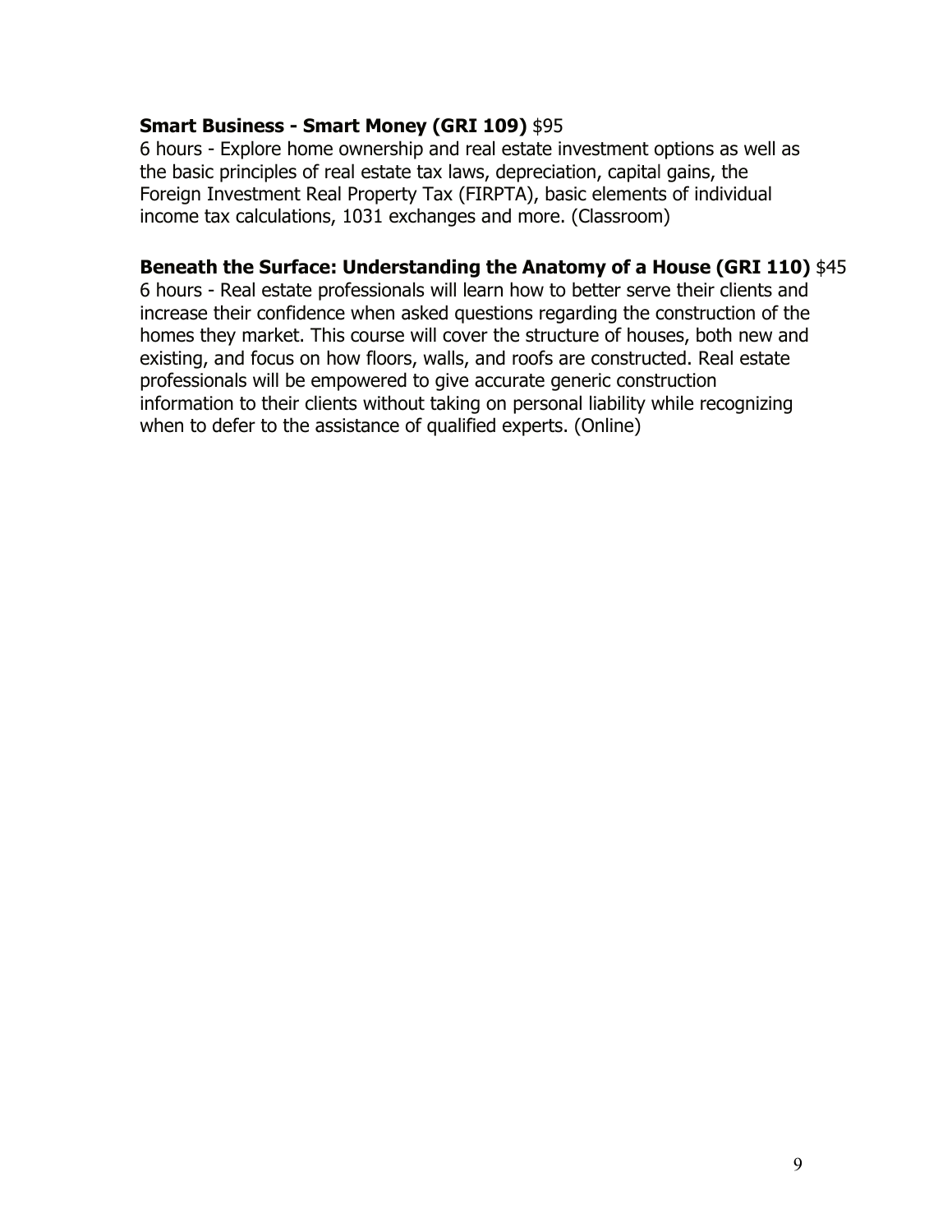# **Smart Business - Smart Money (GRI 109)** \$95

6 hours - Explore home ownership and real estate investment options as well as the basic principles of real estate tax laws, depreciation, capital gains, the Foreign Investment Real Property Tax (FIRPTA), basic elements of individual income tax calculations, 1031 exchanges and more. (Classroom)

# **Beneath the Surface: Understanding the Anatomy of a House (GRI 110)** \$45

6 hours - Real estate professionals will learn how to better serve their clients and increase their confidence when asked questions regarding the construction of the homes they market. This course will cover the structure of houses, both new and existing, and focus on how floors, walls, and roofs are constructed. Real estate professionals will be empowered to give accurate generic construction information to their clients without taking on personal liability while recognizing when to defer to the assistance of qualified experts. (Online)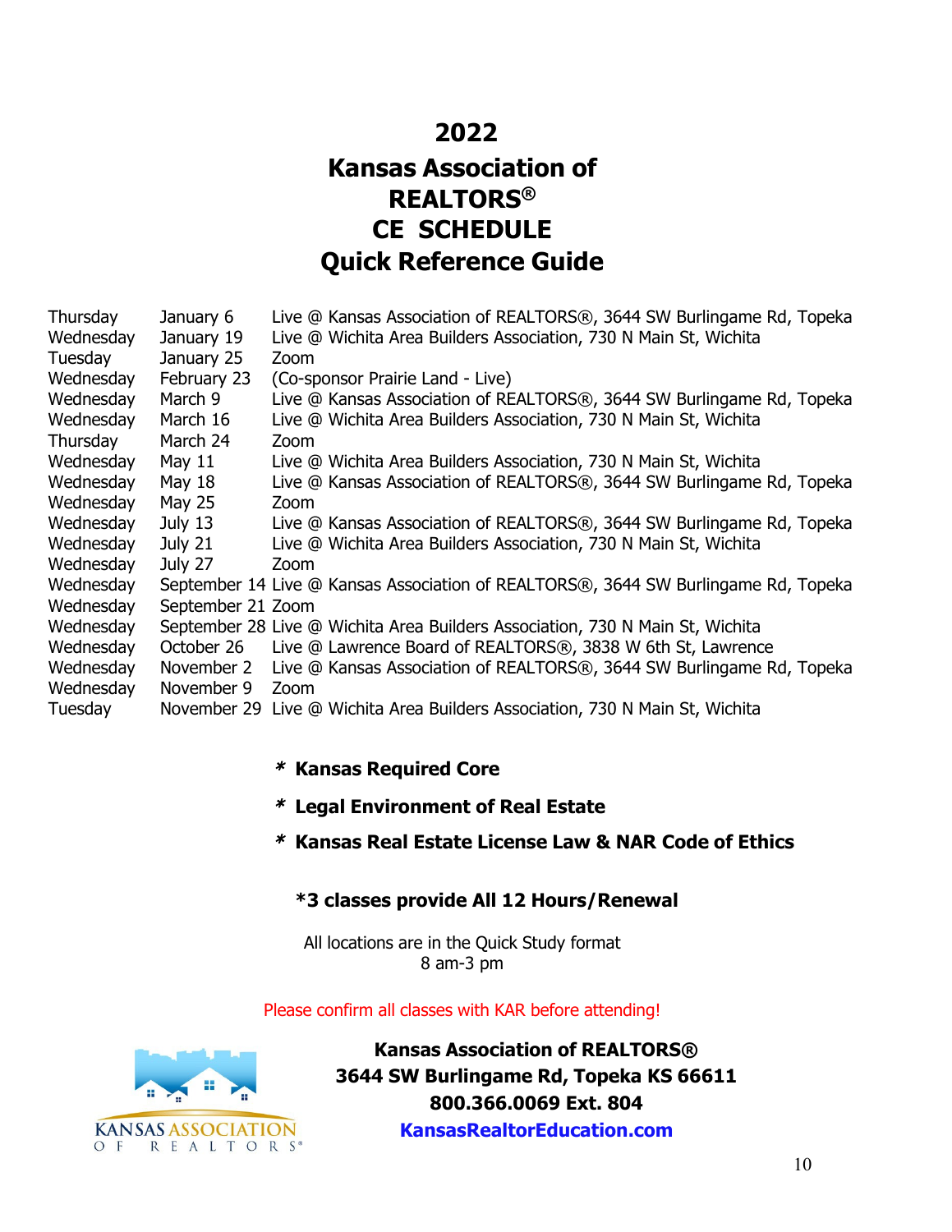# **2022 Kansas Association of REALTORS® CE SCHEDULE Quick Reference Guide**

| Thursday  | January 6         | Live @ Kansas Association of REALTORS®, 3644 SW Burlingame Rd, Topeka              |
|-----------|-------------------|------------------------------------------------------------------------------------|
| Wednesday | January 19        | Live @ Wichita Area Builders Association, 730 N Main St, Wichita                   |
| Tuesday   | January 25        | Zoom                                                                               |
| Wednesday | February 23       | (Co-sponsor Prairie Land - Live)                                                   |
| Wednesday | March 9           | Live @ Kansas Association of REALTORS®, 3644 SW Burlingame Rd, Topeka              |
| Wednesday | March 16          | Live @ Wichita Area Builders Association, 730 N Main St, Wichita                   |
| Thursday  | March 24          | Zoom                                                                               |
| Wednesday | May 11            | Live @ Wichita Area Builders Association, 730 N Main St, Wichita                   |
| Wednesday | May 18            | Live @ Kansas Association of REALTORS®, 3644 SW Burlingame Rd, Topeka              |
| Wednesday | <b>May 25</b>     | Zoom                                                                               |
| Wednesday | July 13           | Live @ Kansas Association of REALTORS®, 3644 SW Burlingame Rd, Topeka              |
| Wednesday | July 21           | Live @ Wichita Area Builders Association, 730 N Main St, Wichita                   |
| Wednesday | July 27           | Zoom                                                                               |
| Wednesday |                   | September 14 Live @ Kansas Association of REALTORS®, 3644 SW Burlingame Rd, Topeka |
| Wednesday | September 21 Zoom |                                                                                    |
| Wednesday |                   | September 28 Live @ Wichita Area Builders Association, 730 N Main St, Wichita      |
| Wednesday | October 26        | Live @ Lawrence Board of REALTORS®, 3838 W 6th St, Lawrence                        |
| Wednesday |                   | November 2 Live @ Kansas Association of REALTORS®, 3644 SW Burlingame Rd, Topeka   |
| Wednesday | November 9        | Zoom                                                                               |
| Tuesday   |                   | November 29 Live @ Wichita Area Builders Association, 730 N Main St, Wichita       |

# \* **Kansas Required Core**

- \* **Legal Environment of Real Estate**
- \* **Kansas Real Estate License Law & NAR Code of Ethics**

#### **\*3 classes provide All 12 Hours/Renewal**

All locations are in the Quick Study format 8 am-3 pm

#### Please confirm all classes with KAR before attending!



**Kansas Association of REALTORS® 3644 SW Burlingame Rd, Topeka KS 66611 800.366.0069 Ext. 804 [KansasRealtorEducation.c](http://www.kansasrealtoreducation.com/)om**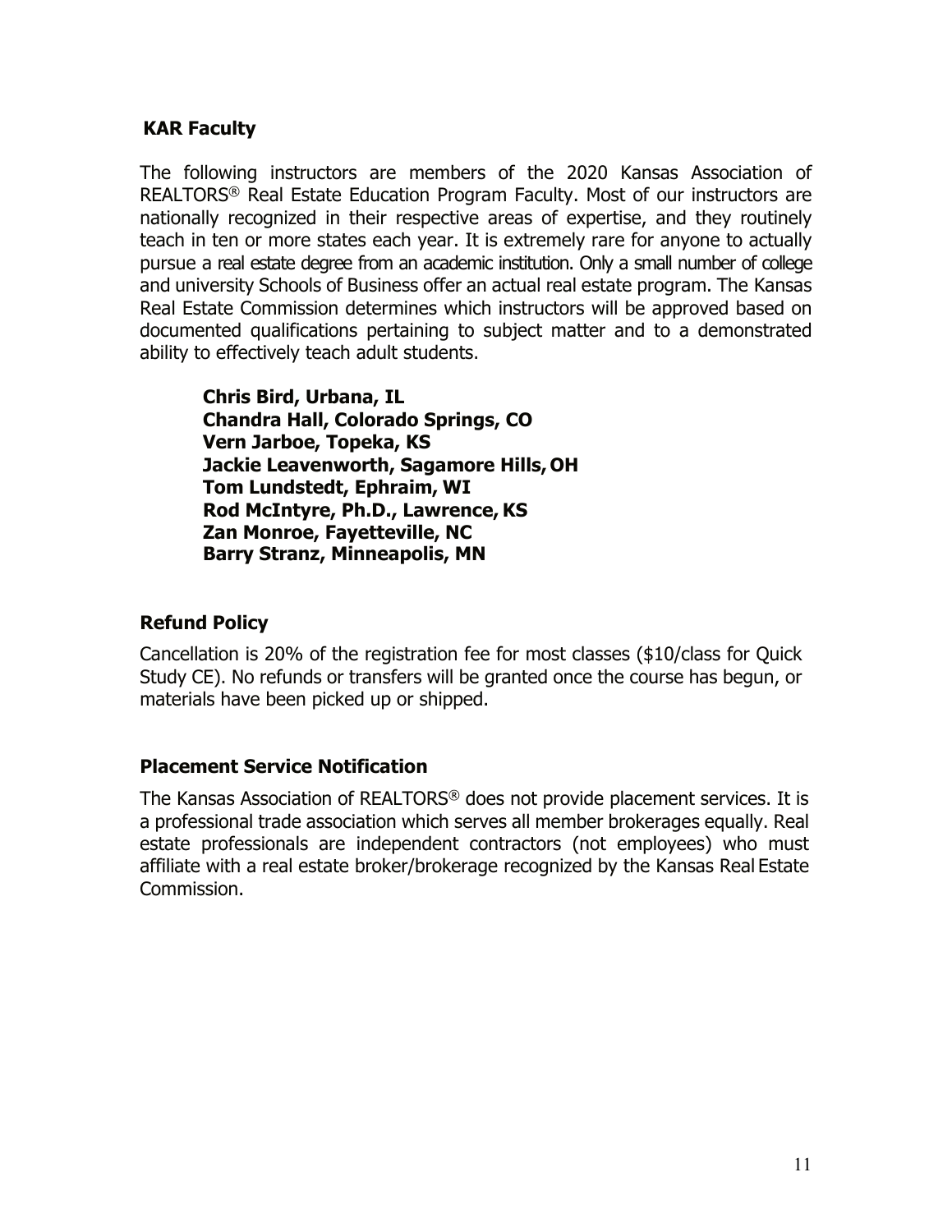# **KAR Faculty**

The following instructors are members of the 2020 Kansas Association of REALTORS® Real Estate Education Program Faculty. Most of our instructors are nationally recognized in their respective areas of expertise, and they routinely teach in ten or more states each year. It is extremely rare for anyone to actually pursue a real estate degree from an academic institution. Only a small number of college and university Schools of Business offer an actual real estate program. The Kansas Real Estate Commission determines which instructors will be approved based on documented qualifications pertaining to subject matter and to a demonstrated ability to effectively teach adult students.

**Chris Bird, Urbana, IL Chandra Hall, Colorado Springs, CO Vern Jarboe, Topeka, KS Jackie Leavenworth, Sagamore Hills, OH Tom Lundstedt, Ephraim, WI Rod McIntyre, Ph.D., Lawrence, KS Zan Monroe, Fayetteville, NC Barry Stranz, Minneapolis, MN**

# **Refund Policy**

Cancellation is 20% of the registration fee for most classes (\$10/class for Quick Study CE). No refunds or transfers will be granted once the course has begun, or materials have been picked up or shipped.

# **Placement Service Notification**

The Kansas Association of REALTORS® does not provide placement services. It is a professional trade association which serves all member brokerages equally. Real estate professionals are independent contractors (not employees) who must affiliate with a real estate broker/brokerage recognized by the Kansas Real Estate Commission.